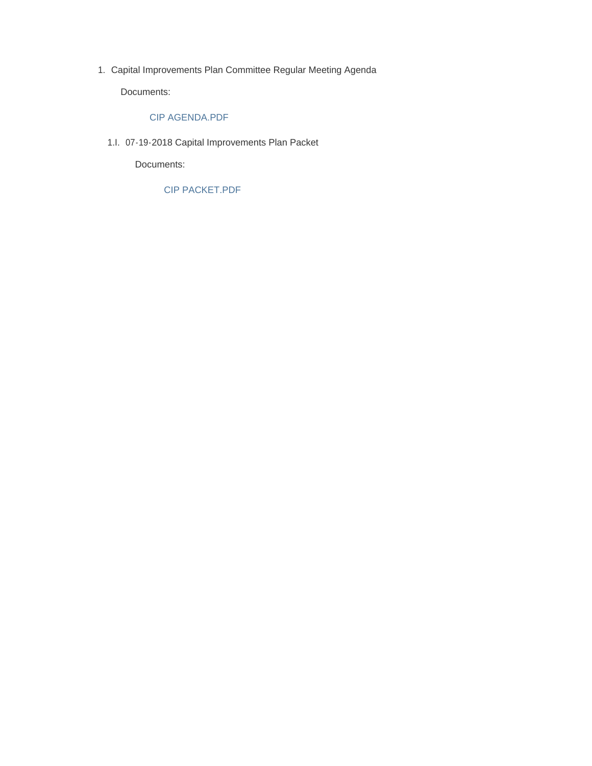Capital Improvements Plan Committee Regular Meeting Agenda 1.

Documents:

# CIP AGENDA.PDF

07-19-2018 Capital Improvements Plan Packet 1.I.

Documents:

CIP PACKET.PDF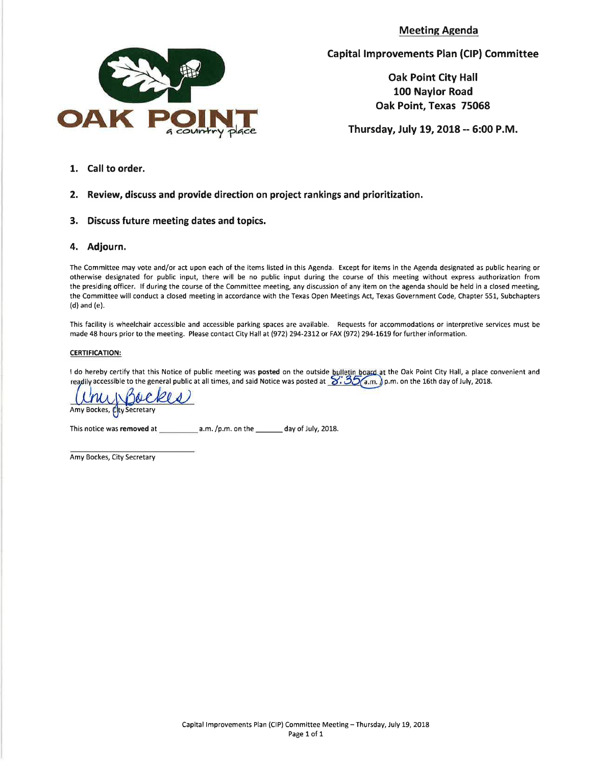**Meeting Agenda** 



**Capital Improvements Plan (CIP) Committee** 

**Oak Point City Hall** 100 Naylor Road Oak Point, Texas 75068

Thursday, July 19, 2018 -- 6:00 P.M.

1. Call to order.

#### $2.$ Review, discuss and provide direction on project rankings and prioritization.

3. Discuss future meeting dates and topics.

### 4. Adjourn.

The Committee may vote and/or act upon each of the items listed in this Agenda. Except for items in the Agenda designated as public hearing or otherwise designated for public input, there will be no public input during the course of this meeting without express authorization from the presiding officer. If during the course of the Committee meeting, any discussion of any item on the agenda should be held in a closed meeting, the Committee will conduct a closed meeting in accordance with the Texas Open Meetings Act, Texas Government Code, Chapter 551, Subchapters  $(d)$  and  $(e)$ .

This facility is wheelchair accessible and accessible parking spaces are available. Requests for accommodations or interpretive services must be made 48 hours prior to the meeting. Please contact City Hall at (972) 294-2312 or FAX (972) 294-1619 for further information.

#### **CERTIFICATION:**

I do hereby certify that this Notice of public meeting was **posted** on the outside bulletin board at the Oak Point City Hall, a place convenient and readily accessible to the general public at all times, and said Notice w

nubackes

Amy Bockes, Cty Secretary

Amy Bockes, City Secretary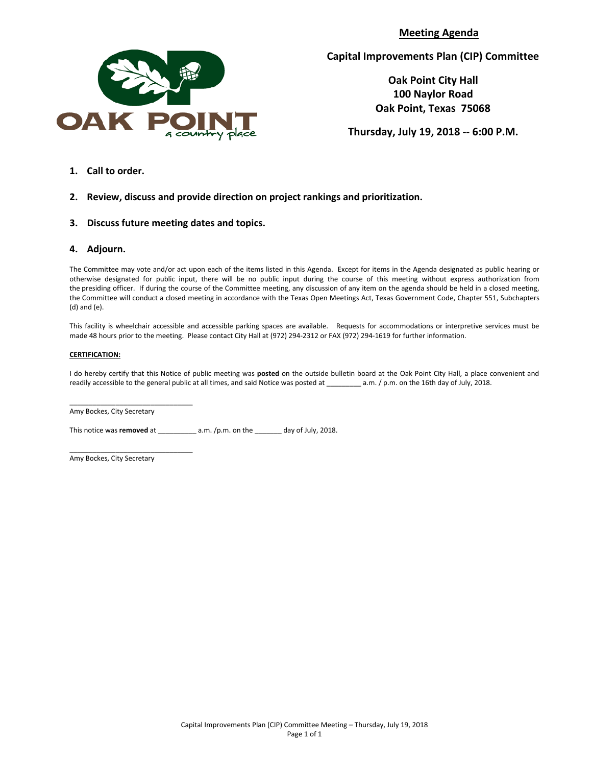**Meeting Agenda**



**Capital Improvements Plan (CIP) Committee**

**Oak Point City Hall 100 Naylor Road Oak Point, Texas 75068**

**Thursday, July 19, 2018 -- 6:00 P.M.**

**1. Call to order.**

## **2. Review, discuss and provide direction on project rankings and prioritization.**

**3. Discuss future meeting dates and topics.** 

### **4. Adjourn.**

The Committee may vote and/or act upon each of the items listed in this Agenda. Except for items in the Agenda designated as public hearing or otherwise designated for public input, there will be no public input during the course of this meeting without express authorization from the presiding officer. If during the course of the Committee meeting, any discussion of any item on the agenda should be held in a closed meeting, the Committee will conduct a closed meeting in accordance with the Texas Open Meetings Act, Texas Government Code, Chapter 551, Subchapters (d) and (e).

This facility is wheelchair accessible and accessible parking spaces are available. Requests for accommodations or interpretive services must be made 48 hours prior to the meeting. Please contact City Hall at (972) 294-2312 or FAX (972) 294-1619 for further information.

#### **CERTIFICATION:**

I do hereby certify that this Notice of public meeting was **posted** on the outside bulletin board at the Oak Point City Hall, a place convenient and readily accessible to the general public at all times, and said Notice was posted at \_\_\_\_\_\_\_\_\_ a.m. / p.m. on the 16th day of July, 2018.

\_\_\_\_\_\_\_\_\_\_\_\_\_\_\_\_\_\_\_\_\_\_\_\_\_\_\_\_\_\_\_\_ Amy Bockes, City Secretary

This notice was **removed** at \_\_\_\_\_\_\_\_\_\_ a.m. /p.m. on the \_\_\_\_\_\_\_ day of July, 2018.

Amy Bockes, City Secretary

\_\_\_\_\_\_\_\_\_\_\_\_\_\_\_\_\_\_\_\_\_\_\_\_\_\_\_\_\_\_\_\_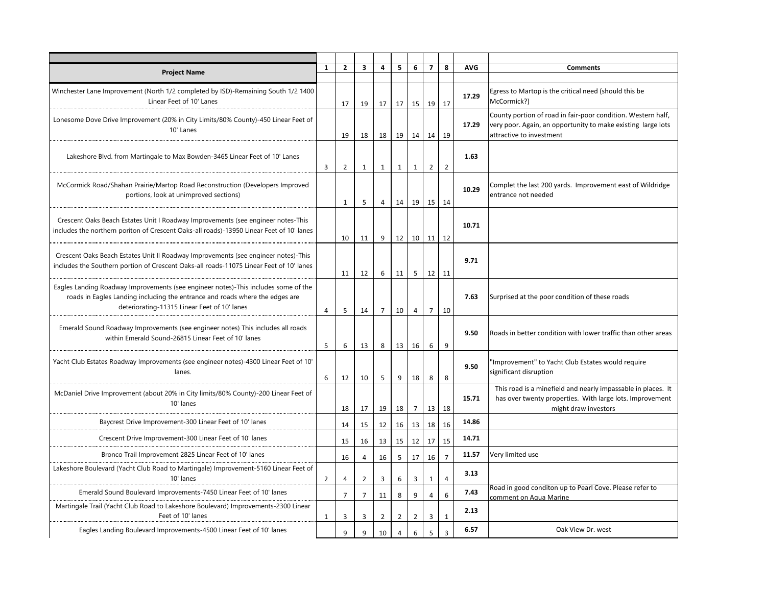| <b>Project Name</b>                                                                                                                                                                                                | 1              | $\overline{2}$ | 3              | 4              | 5              | 6               | $\overline{7}$ | 8              | <b>AVG</b> | <b>Comments</b>                                                                          |
|--------------------------------------------------------------------------------------------------------------------------------------------------------------------------------------------------------------------|----------------|----------------|----------------|----------------|----------------|-----------------|----------------|----------------|------------|------------------------------------------------------------------------------------------|
|                                                                                                                                                                                                                    |                |                |                |                |                |                 |                |                |            |                                                                                          |
| Winchester Lane Improvement (North 1/2 completed by ISD)-Remaining South 1/2 1400<br>Linear Feet of 10' Lanes                                                                                                      |                | 17             | 19             | 17             | 17             | 15 <sup>1</sup> | 19             | 17             | 17.29      | Egress to Martop is the critical need (should this be<br>McCormick?)                     |
| Lonesome Dove Drive Improvement (20% in City Limits/80% County)-450 Linear Feet of                                                                                                                                 |                |                |                |                |                |                 |                |                |            | County portion of road in fair-poor condition. Western half,                             |
| 10' Lanes                                                                                                                                                                                                          |                | 19             | 18             | 18             | 19             | 14              | 14             | 19             | 17.29      | very poor. Again, an opportunity to make existing large lots<br>attractive to investment |
|                                                                                                                                                                                                                    |                |                |                |                |                |                 |                |                |            |                                                                                          |
| Lakeshore Blvd. from Martingale to Max Bowden-3465 Linear Feet of 10' Lanes                                                                                                                                        |                |                |                |                |                |                 |                |                | 1.63       |                                                                                          |
|                                                                                                                                                                                                                    | 3              | 2              | 1              | $\mathbf{1}$   | $\mathbf{1}$   | 1               | $\overline{2}$ | $\overline{2}$ |            |                                                                                          |
| McCormick Road/Shahan Prairie/Martop Road Reconstruction (Developers Improved                                                                                                                                      |                |                |                |                |                |                 |                |                | 10.29      | Complet the last 200 yards. Improvement east of Wildridge                                |
| portions, look at unimproved sections)                                                                                                                                                                             |                | $\mathbf{1}$   | 5              | 4              | 14             | 19              |                | 15 14          |            | entrance not needed                                                                      |
|                                                                                                                                                                                                                    |                |                |                |                |                |                 |                |                |            |                                                                                          |
| Crescent Oaks Beach Estates Unit I Roadway Improvements (see engineer notes-This<br>includes the northern poriton of Crescent Oaks-all roads)-13950 Linear Feet of 10' lanes                                       |                |                |                |                |                |                 |                |                | 10.71      |                                                                                          |
|                                                                                                                                                                                                                    |                | 10             | 11             | 9              | 12             | 10 <sup>1</sup> |                | $11 \mid 12$   |            |                                                                                          |
| Crescent Oaks Beach Estates Unit II Roadway Improvements (see engineer notes)-This                                                                                                                                 |                |                |                |                |                |                 |                |                |            |                                                                                          |
| includes the Southern portion of Crescent Oaks-all roads-11075 Linear Feet of 10' lanes                                                                                                                            |                |                |                |                |                |                 |                |                | 9.71       |                                                                                          |
|                                                                                                                                                                                                                    |                | 11             | 12             | 6              | 11             | 5               |                | $12 \mid 11$   |            |                                                                                          |
| Eagles Landing Roadway Improvements (see engineer notes)-This includes some of the<br>roads in Eagles Landing including the entrance and roads where the edges are<br>deteriorating-11315 Linear Feet of 10' lanes |                |                |                |                |                |                 |                |                | 7.63       |                                                                                          |
|                                                                                                                                                                                                                    |                |                |                |                |                |                 |                |                |            | Surprised at the poor condition of these roads                                           |
|                                                                                                                                                                                                                    | 4              | 5              | 14             | $\overline{7}$ | 10             | $\overline{4}$  | $\overline{7}$ | 10             |            |                                                                                          |
| Emerald Sound Roadway Improvements (see engineer notes) This includes all roads                                                                                                                                    |                |                |                |                |                |                 |                |                | 9.50       | Roads in better condition with lower traffic than other areas                            |
| within Emerald Sound-26815 Linear Feet of 10' lanes                                                                                                                                                                | 5              | 6              | 13             | 8              | 13             | 16              | 6              | 9              |            |                                                                                          |
| Yacht Club Estates Roadway Improvements (see engineer notes)-4300 Linear Feet of 10'                                                                                                                               |                |                |                |                |                |                 |                |                |            | 'Improvement" to Yacht Club Estates would require                                        |
| lanes.                                                                                                                                                                                                             |                |                |                |                |                |                 |                |                | 9.50       | significant disruption                                                                   |
|                                                                                                                                                                                                                    | 6              | 12             | 10             | 5              | 9              | 18              | 8              | 8              |            | This road is a minefield and nearly impassable in places. It                             |
| McDaniel Drive Improvement (about 20% in City limits/80% County)-200 Linear Feet of                                                                                                                                |                |                |                |                |                |                 |                |                | 15.71      | has over twenty properties. With large lots. Improvement                                 |
| 10' lanes                                                                                                                                                                                                          |                | 18             | 17             | 19             | 18             | 7               | 13             | 18             |            | might draw investors                                                                     |
| Baycrest Drive Improvement-300 Linear Feet of 10' lanes                                                                                                                                                            |                | 14             | 15             | 12             | 16             | 13              | 18             | 16             | 14.86      |                                                                                          |
| Crescent Drive Improvement-300 Linear Feet of 10' lanes                                                                                                                                                            |                | 15             | 16             | 13             | 15             | 12              | 17             | 15             | 14.71      |                                                                                          |
| Bronco Trail Improvement 2825 Linear Feet of 10' lanes                                                                                                                                                             |                | 16             | 4              | 16             | 5              | 17              | 16             | $\overline{7}$ | 11.57      | Very limited use                                                                         |
| Lakeshore Boulevard (Yacht Club Road to Martingale) Improvement-5160 Linear Feet of                                                                                                                                |                |                |                |                |                |                 |                |                | 3.13       |                                                                                          |
| 10' lanes                                                                                                                                                                                                          | $\overline{2}$ | $\overline{4}$ | $\overline{2}$ | 3              | 6              | 3               | $\mathbf{1}$   | $\overline{4}$ |            |                                                                                          |
| Emerald Sound Boulevard Improvements-7450 Linear Feet of 10' lanes                                                                                                                                                 |                | $\overline{7}$ | $\overline{7}$ | 11             | 8              | 9               | $\overline{4}$ | 6              | 7.43       | Road in good conditon up to Pearl Cove. Please refer to<br>comment on Agua Marine        |
| Martingale Trail (Yacht Club Road to Lakeshore Boulevard) Improvements-2300 Linear                                                                                                                                 |                |                |                |                |                |                 |                |                | 2.13       |                                                                                          |
| Feet of 10' lanes                                                                                                                                                                                                  | 1              | 3              | 3              | $\overline{2}$ | $\overline{2}$ | $\overline{2}$  | 3              | $1\,$          |            |                                                                                          |
| Eagles Landing Boulevard Improvements-4500 Linear Feet of 10' lanes                                                                                                                                                |                | 9              | 9              | 10             | 4              | 6               | 5              | $\overline{3}$ | 6.57       | Oak View Dr. west                                                                        |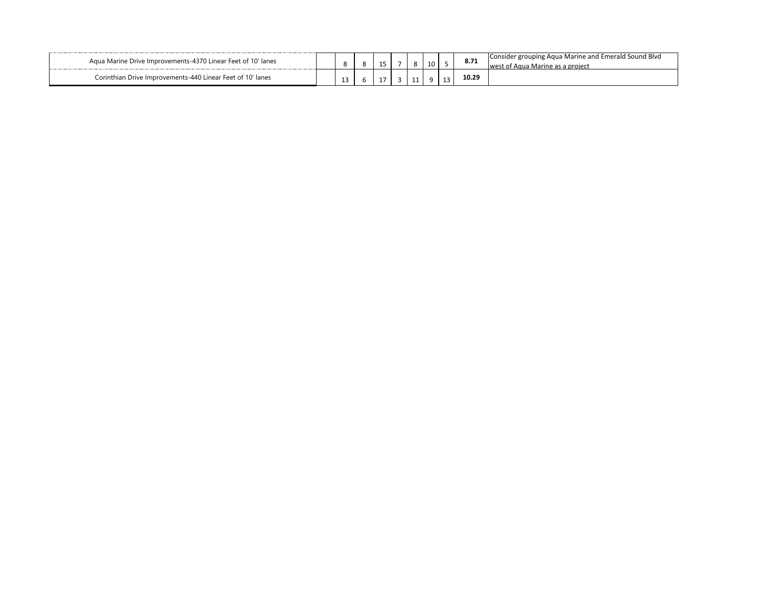| Agua Marine Drive Improvements-4370 Linear Feet of 10' lanes    |   |  | n<br>$\circ$ |  | 8.71  | ' Emerald Sound Blvd<br>Consider grouping Aqua Marine and<br>, proiect |
|-----------------------------------------------------------------|---|--|--------------|--|-------|------------------------------------------------------------------------|
| Corinthian Drive Improvements-440 Linear Feet of 10 in<br>lanes | ᅩ |  |              |  | 10.29 |                                                                        |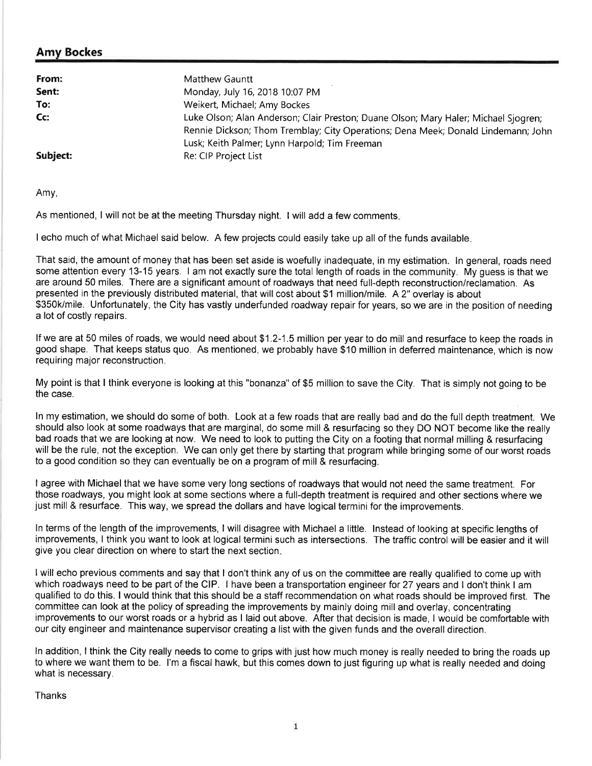# Amy Bockes

| From:    | <b>Matthew Gauntt</b>                                                                                                                                                                                                     |
|----------|---------------------------------------------------------------------------------------------------------------------------------------------------------------------------------------------------------------------------|
| Sent:    | Monday, July 16, 2018 10:07 PM                                                                                                                                                                                            |
| To:      | Weikert, Michael; Amy Bockes                                                                                                                                                                                              |
| Cc:      | Luke Olson; Alan Anderson; Clair Preston; Duane Olson; Mary Haler; Michael Sjogren;<br>Rennie Dickson; Thom Tremblay; City Operations; Dena Meek; Donald Lindemann; John<br>Lusk; Keith Palmer; Lynn Harpold; Tim Freeman |
| Subject: | Re: CIP Project List                                                                                                                                                                                                      |

Amy,

As mentioned, I will not be at the meeting Thursday night. I will add a few comments.

I echo much of what Michael said below. A few projects could easily take up all of the funds available.

That said, the amount of money that has been set aside is woefully inadequate, in my estimation. In general, roads need some attention every 13-15 years. I am not exactly sure the total length of roads in the community. My guess is that we are around 50 miles. There are a significant amount of roadways that need full-depth reconstruction/reclamation. As presented in the previously distributed material, that will cost about \$1 million/mile. A 2" overlay is about \$350k/mile. Unfortunately, the City has vastly underfunded roadway repair for years, so we are in the position of needing a lot of costly repairs.

If we are at 50 miles of roads, we would need about \$1.2-1.5 million per year to do mill and resurface to keep the roads in good shape. That keeps status quo. As mentioned, we probably have \$10 million in deferred maintenance, which is now requiring major reconstruction.

My point is that I think everyone is looking at this "bonanza" of \$5 million to save the City. That is simply not going to be the case.

In my estimation, we should do some of both. Look at a few roads that are really bad and do the full depth treatment. We should also look at some roadways that are marginal, do some mill & resurfacing so they DO NOT become like the really bad roads that we are looking at now. We need to look to putting the City on a footing that normal milling & resurfacing will be the rule, not the exception. We can only get there by starting that program while bringing some of our worst roads to a good condition so they can eventually be on a program of mill & resurfacing.

I agree with Michael that we have some very long sections of roadways that would not need the same treatment. For those roadways, you might look at some sections where a full-depth treatment is required and other sections where we just mill & resurface. This way, we spread the dollars and have logical termini for the improvements.

In terms of the length of the improvements, I will disagree with Michael a little. Instead of looking at specific lengths of improvements. I think you want to look at logical termini such as intersections. The traffic control will be easier and it will give you clear direction on where to start the next section.

I will echo previous comments and say that I don't think any of us on the committee are really qualified to come up with which roadways need to be part of the CIP. I have been a transportation engineer for 27 years and I don't think I am qualified to do this. I would think that this should be a staff recommendation on what roads should be improved first. The committee can look at the policy of spreading the improvements by mainly doing mill and overlay, concentrating improvements to our worst roads or a hybrid as I laid out above. After that decision is made, I would be comfortable with our city engineer and maintenance supervisor creating a list with the given funds and the overall direction.

In addition. I think the City really needs to come to grips with just how much money is really needed to bring the roads up to where we want them to be. I'm a fiscal hawk, but this comes down to just figuring up what is really needed and doing what is necessary.

Thanks